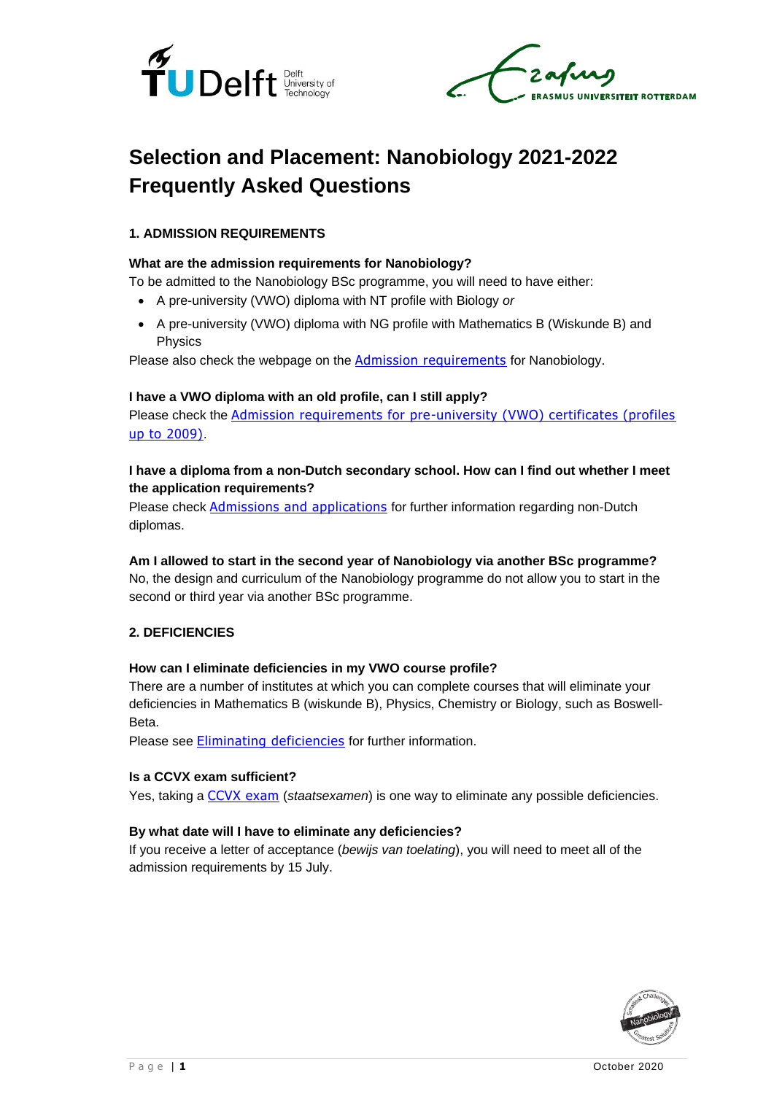



# **Selection and Placement: Nanobiology 2021-2022 Frequently Asked Questions**

## **1. ADMISSION REQUIREMENTS**

## **What are the admission requirements for Nanobiology?**

To be admitted to the Nanobiology BSc programme, you will need to have either:

- A pre-university (VWO) diploma with NT profile with Biology *or*
- A pre-university (VWO) diploma with NG profile with Mathematics B (Wiskunde B) and Physics

Please also check the webpage on the [Admission requirements](https://www.tudelft.nl/en/education/admission-and-application/bsc-international/1-admission-requirements/) for Nanobiology.

#### **I have a VWO diploma with an old profile, can I still apply?**

Please check the [Admission requirements for pre-university \(VWO\) certificates \(profiles](https://www.tudelft.nl/onderwijs/toelating-en-aanmelding/bsc-nl-diploma/1-toelatingseisen/)  [up to 2009\)](https://www.tudelft.nl/onderwijs/toelating-en-aanmelding/bsc-nl-diploma/1-toelatingseisen/).

## **I have a diploma from a non-Dutch secondary school. How can I find out whether I meet the application requirements?**

Please check [Admissions and applications](https://www.tudelft.nl/en/education/admission-and-application/bsc-international/1-admission-requirements/) for further information regarding non-Dutch diplomas.

## **Am I allowed to start in the second year of Nanobiology via another BSc programme?**

No, the design and curriculum of the Nanobiology programme do not allow you to start in the second or third year via another BSc programme.

## **2. DEFICIENCIES**

#### **How can I eliminate deficiencies in my VWO course profile?**

There are a number of institutes at which you can complete courses that will eliminate your deficiencies in Mathematics B (wiskunde B), Physics, Chemistry or Biology, such as Boswell-Beta.

Please see [Eliminating deficiencies](https://www.tudelft.nl/en/student/administration/enrolment/deficiencies/) for further information.

#### **Is a CCVX exam sufficient?**

Yes, taking a [CCVX exam](http://www.ccvx.nl/) (*staatsexamen*) is one way to eliminate any possible deficiencies.

## **By what date will I have to eliminate any deficiencies?**

If you receive a letter of acceptance (*bewijs van toelating*), you will need to meet all of the admission requirements by 15 July.

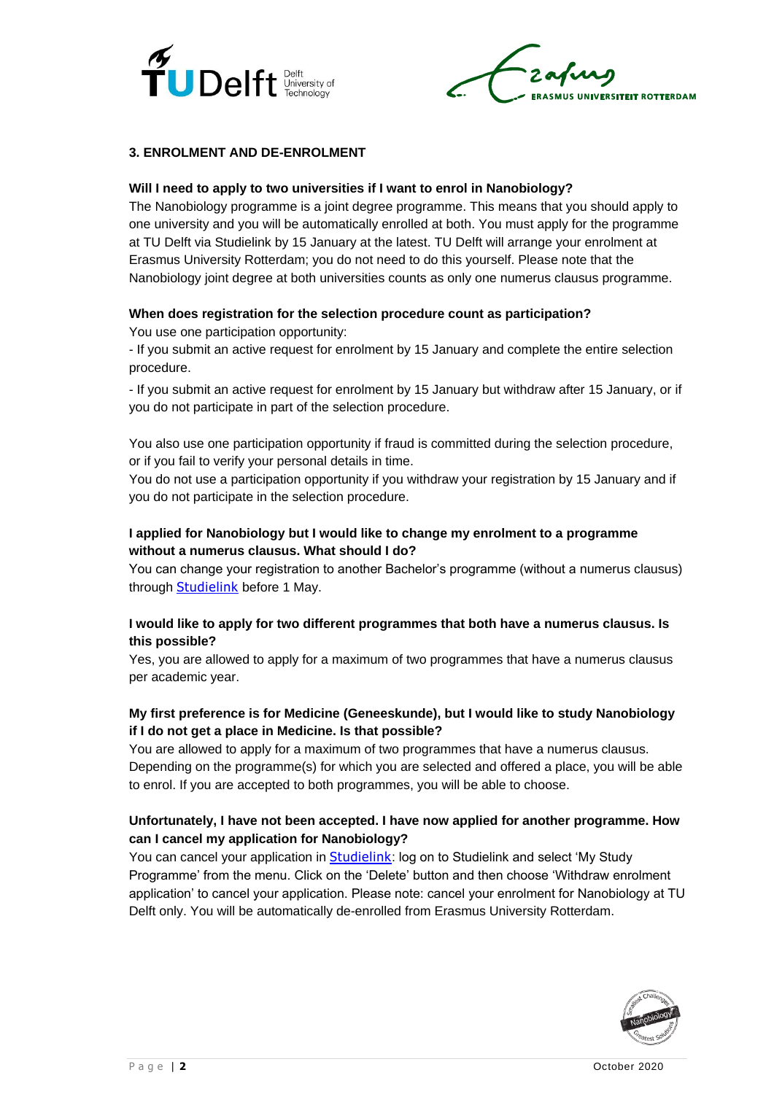



## **3. ENROLMENT AND DE-ENROLMENT**

#### **Will I need to apply to two universities if I want to enrol in Nanobiology?**

The Nanobiology programme is a joint degree programme. This means that you should apply to one university and you will be automatically enrolled at both. You must apply for the programme at TU Delft via Studielink by 15 January at the latest. TU Delft will arrange your enrolment at Erasmus University Rotterdam; you do not need to do this yourself. Please note that the Nanobiology joint degree at both universities counts as only one numerus clausus programme.

## **When does registration for the selection procedure count as participation?**

You use one participation opportunity:

- If you submit an active request for enrolment by 15 January and complete the entire selection procedure.

- If you submit an active request for enrolment by 15 January but withdraw after 15 January, or if you do not participate in part of the selection procedure.

You also use one participation opportunity if fraud is committed during the selection procedure, or if you fail to verify your personal details in time.

You do not use a participation opportunity if you withdraw your registration by 15 January and if you do not participate in the selection procedure.

## **I applied for Nanobiology but I would like to change my enrolment to a programme without a numerus clausus. What should I do?**

You can change your registration to another Bachelor's programme (without a numerus clausus) through **[Studielink](http://www.studielink.nl/)** before 1 May.

## **I would like to apply for two different programmes that both have a numerus clausus. Is this possible?**

Yes, you are allowed to apply for a maximum of two programmes that have a numerus clausus per academic year.

## **My first preference is for Medicine (Geneeskunde), but I would like to study Nanobiology if I do not get a place in Medicine. Is that possible?**

You are allowed to apply for a maximum of two programmes that have a numerus clausus. Depending on the programme(s) for which you are selected and offered a place, you will be able to enrol. If you are accepted to both programmes, you will be able to choose.

## **Unfortunately, I have not been accepted. I have now applied for another programme. How can I cancel my application for Nanobiology?**

You can cancel your application in **[Studielink](http://www.studielink.nl/):** log on to Studielink and select 'My Study Programme' from the menu. Click on the 'Delete' button and then choose 'Withdraw enrolment application' to cancel your application. Please note: cancel your enrolment for Nanobiology at TU Delft only. You will be automatically de-enrolled from Erasmus University Rotterdam.

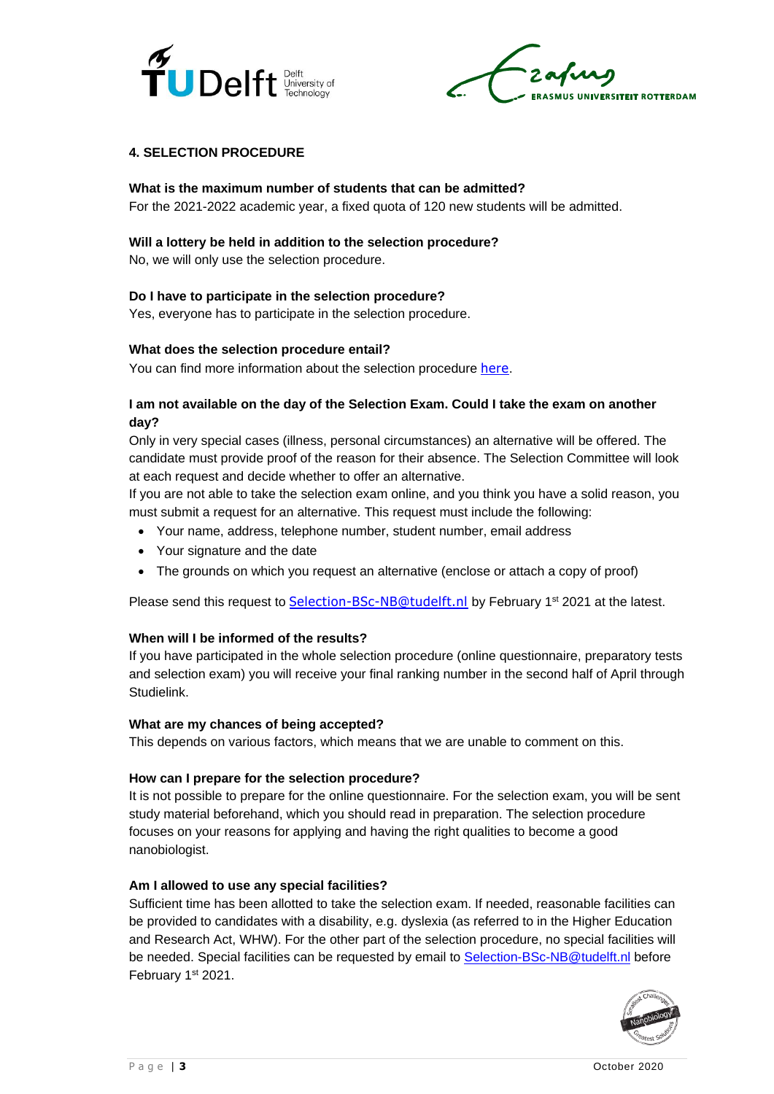

UNIVERSITEIT ROTTERDAM

## **4. SELECTION PROCEDURE**

#### **What is the maximum number of students that can be admitted?**

For the 2021-2022 academic year, a fixed quota of 120 new students will be admitted.

#### **Will a lottery be held in addition to the selection procedure?**

No, we will only use the selection procedure.

#### **Do I have to participate in the selection procedure?**

Yes, everyone has to participate in the selection procedure.

#### **What does the selection procedure entail?**

You can find more information about the selection procedure [here](https://www.tudelft.nl/en/education/programmes/bachelors/nb/bsc-nanobiology/admission-requirements/numerus-clausus/).

## **I am not available on the day of the Selection Exam. Could I take the exam on another day?**

Only in very special cases (illness, personal circumstances) an alternative will be offered. The candidate must provide proof of the reason for their absence. The Selection Committee will look at each request and decide whether to offer an alternative.

If you are not able to take the selection exam online, and you think you have a solid reason, you must submit a request for an alternative. This request must include the following:

- Your name, address, telephone number, student number, email address
- Your signature and the date
- The grounds on which you request an alternative (enclose or attach a copy of proof)

Please send this request to **[Selection-BSc-NB@tudelft.nl](mailto:selection-bsc-nb@tudelft.nl)** by February 1<sup>st</sup> 2021 at the latest.

## **When will I be informed of the results?**

If you have participated in the whole selection procedure (online questionnaire, preparatory tests and selection exam) you will receive your final ranking number in the second half of April through Studielink.

#### **What are my chances of being accepted?**

This depends on various factors, which means that we are unable to comment on this.

#### **How can I prepare for the selection procedure?**

It is not possible to prepare for the online questionnaire. For the selection exam, you will be sent study material beforehand, which you should read in preparation. The selection procedure focuses on your reasons for applying and having the right qualities to become a good nanobiologist.

#### **Am I allowed to use any special facilities?**

Sufficient time has been allotted to take the selection exam. If needed, reasonable facilities can be provided to candidates with a disability, e.g. dyslexia (as referred to in the Higher Education and Research Act, WHW). For the other part of the selection procedure, no special facilities will be needed. Special facilities can be requested by email to [Selection-BSc-NB@tudelft.nl](mailto:Selection-BSc-NB@tudelft.nl) before February 1st 2021.

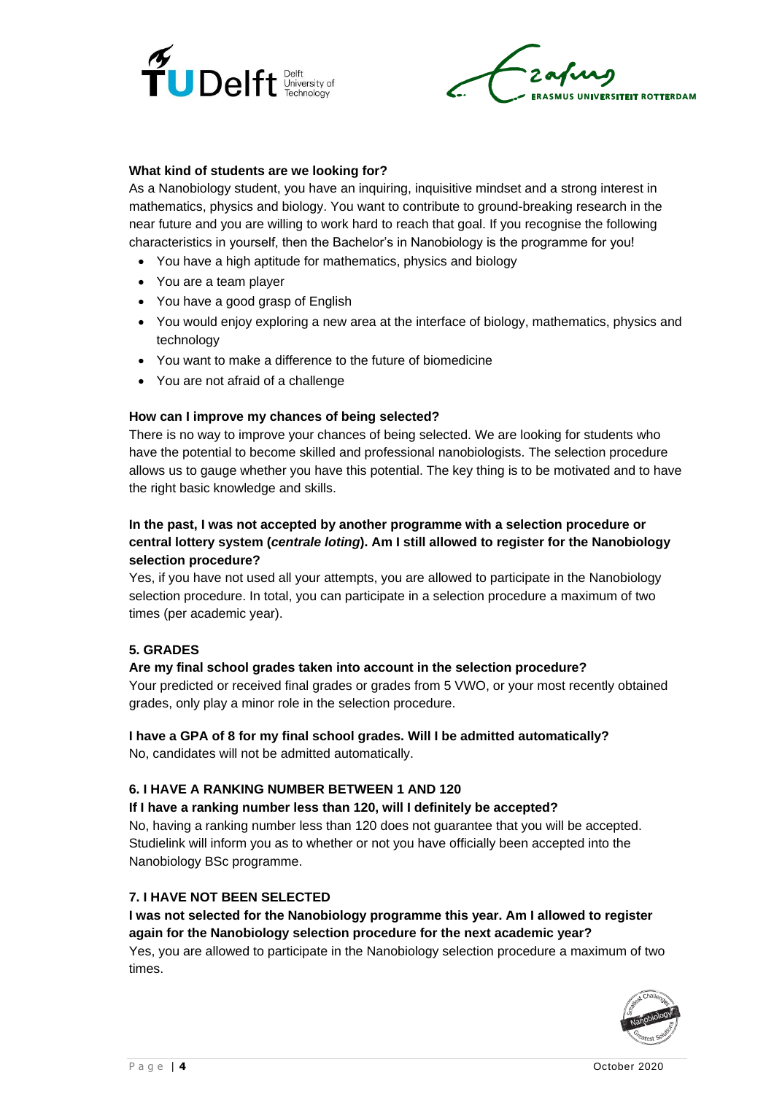

**US UNIVERSITEIT ROTTERDAM** 

## **What kind of students are we looking for?**

As a Nanobiology student, you have an inquiring, inquisitive mindset and a strong interest in mathematics, physics and biology. You want to contribute to ground-breaking research in the near future and you are willing to work hard to reach that goal. If you recognise the following characteristics in yourself, then the Bachelor's in Nanobiology is the programme for you!

- You have a high aptitude for mathematics, physics and biology
- You are a team player
- You have a good grasp of English
- You would enjoy exploring a new area at the interface of biology, mathematics, physics and technology
- You want to make a difference to the future of biomedicine
- You are not afraid of a challenge

#### **How can I improve my chances of being selected?**

There is no way to improve your chances of being selected. We are looking for students who have the potential to become skilled and professional nanobiologists. The selection procedure allows us to gauge whether you have this potential. The key thing is to be motivated and to have the right basic knowledge and skills.

## **In the past, I was not accepted by another programme with a selection procedure or central lottery system (***centrale loting***). Am I still allowed to register for the Nanobiology selection procedure?**

Yes, if you have not used all your attempts, you are allowed to participate in the Nanobiology selection procedure. In total, you can participate in a selection procedure a maximum of two times (per academic year).

#### **5. GRADES**

## **Are my final school grades taken into account in the selection procedure?**

Your predicted or received final grades or grades from 5 VWO, or your most recently obtained grades, only play a minor role in the selection procedure.

## **I have a GPA of 8 for my final school grades. Will I be admitted automatically?**

No, candidates will not be admitted automatically.

#### **6. I HAVE A RANKING NUMBER BETWEEN 1 AND 120**

**If I have a ranking number less than 120, will I definitely be accepted?** 

No, having a ranking number less than 120 does not guarantee that you will be accepted. Studielink will inform you as to whether or not you have officially been accepted into the Nanobiology BSc programme.

#### **7. I HAVE NOT BEEN SELECTED**

## **I was not selected for the Nanobiology programme this year. Am I allowed to register again for the Nanobiology selection procedure for the next academic year?**  Yes, you are allowed to participate in the Nanobiology selection procedure a maximum of two

times.